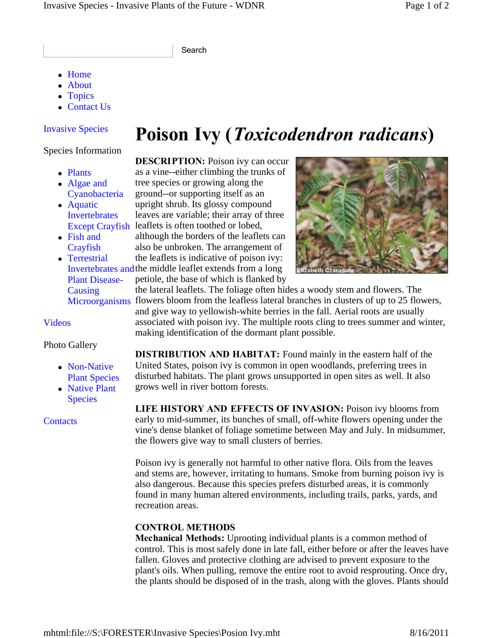Search

- Home
- About
- Topics
- Contact Us

### Invasive Species

#### Species Information

- Plants
- Algae and Cyanobacteria
- Aquatic Invertebrates
- Fish and **Crayfish**
- Terrestrial Plant Disease-Causing

#### Videos

#### Photo Gallery

- Non-Native Plant Species
- Native Plant **Species**

**Contacts** 

# **Poison Ivy (***Toxicodendron radicans***)**

Except Crayfish leaflets is often toothed or lobed, **DESCRIPTION:** Poison ivy can occur as a vine--either climbing the trunks of tree species or growing along the ground--or supporting itself as an upright shrub. Its glossy compound leaves are variable; their array of three although the borders of the leaflets can also be unbroken. The arrangement of the leaflets is indicative of poison ivy:

Invertebrates and the middle leaflet extends from a long petiole, the base of which is flanked by



Microorganisms flowers bloom from the leafless lateral branches in clusters of up to 25 flowers, the lateral leaflets. The foliage often hides a woody stem and flowers. The and give way to yellowish-white berries in the fall. Aerial roots are usually associated with poison ivy. The multiple roots cling to trees summer and winter, making identification of the dormant plant possible.

> **DISTRIBUTION AND HABITAT:** Found mainly in the eastern half of the United States, poison ivy is common in open woodlands, preferring trees in disturbed habitats. The plant grows unsupported in open sites as well. It also grows well in river bottom forests.

**LIFE HISTORY AND EFFECTS OF INVASION:** Poison ivy blooms from early to mid-summer, its bunches of small, off-white flowers opening under the vine's dense blanket of foliage sometime between May and July. In midsummer, the flowers give way to small clusters of berries.

Poison ivy is generally not harmful to other native flora. Oils from the leaves and stems are, however, irritating to humans. Smoke from burning poison ivy is also dangerous. Because this species prefers disturbed areas, it is commonly found in many human altered environments, including trails, parks, yards, and recreation areas.

## **CONTROL METHODS**

**Mechanical Methods:** Uprooting individual plants is a common method of control. This is most safely done in late fall, either before or after the leaves have fallen. Gloves and protective clothing are advised to prevent exposure to the plant's oils. When pulling, remove the entire root to avoid resprouting. Once dry, the plants should be disposed of in the trash, along with the gloves. Plants should